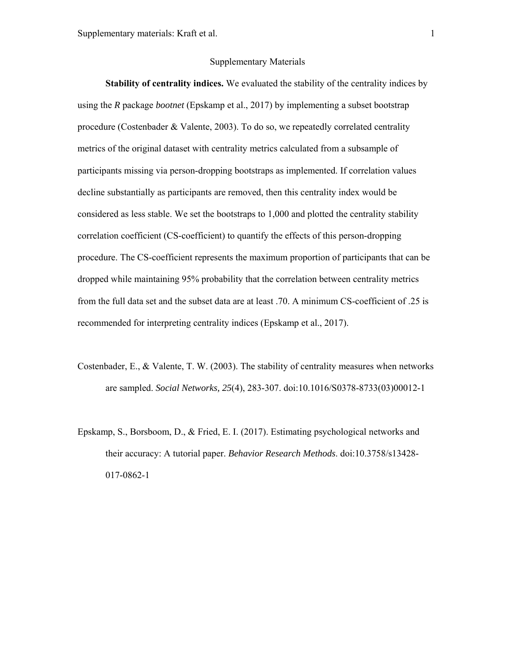## Supplementary Materials

**Stability of centrality indices.** We evaluated the stability of the centrality indices by using the *R* package *bootnet* (Epskamp et al., 2017) by implementing a subset bootstrap procedure (Costenbader & Valente, 2003). To do so, we repeatedly correlated centrality metrics of the original dataset with centrality metrics calculated from a subsample of participants missing via person-dropping bootstraps as implemented. If correlation values decline substantially as participants are removed, then this centrality index would be considered as less stable. We set the bootstraps to 1,000 and plotted the centrality stability correlation coefficient (CS-coefficient) to quantify the effects of this person-dropping procedure. The CS-coefficient represents the maximum proportion of participants that can be dropped while maintaining 95% probability that the correlation between centrality metrics from the full data set and the subset data are at least .70. A minimum CS-coefficient of .25 is recommended for interpreting centrality indices (Epskamp et al., 2017).

- Costenbader, E., & Valente, T. W. (2003). The stability of centrality measures when networks are sampled. *Social Networks, 25*(4), 283-307. doi:10.1016/S0378-8733(03)00012-1
- Epskamp, S., Borsboom, D., & Fried, E. I. (2017). Estimating psychological networks and their accuracy: A tutorial paper. *Behavior Research Methods*. doi:10.3758/s13428- 017-0862-1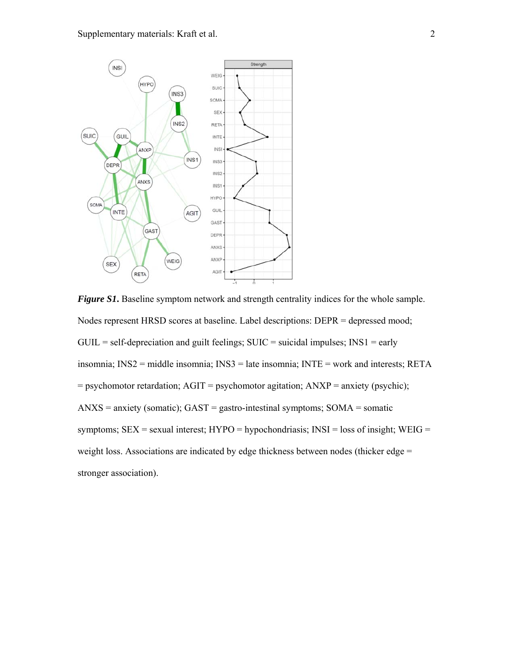

*Figure S1***.** Baseline symptom network and strength centrality indices for the whole sample. Nodes represent HRSD scores at baseline. Label descriptions: DEPR = depressed mood;  $GUIL = self-deprecision and guilty feelings; SUIC = suicide language; INS1 = early$ insomnia; INS2 = middle insomnia; INS3 = late insomnia; INTE = work and interests; RETA = psychomotor retardation; AGIT = psychomotor agitation; ANXP = anxiety (psychic);  $ANXS =$  anxiety (somatic);  $GAST =$  gastro-intestinal symptoms;  $SOMA =$  somatic symptoms;  $SEX = sexual$  interest;  $HYPO = hypochondriasis$ ;  $INSI = loss$  of insight;  $WEIG =$ weight loss. Associations are indicated by edge thickness between nodes (thicker edge = stronger association).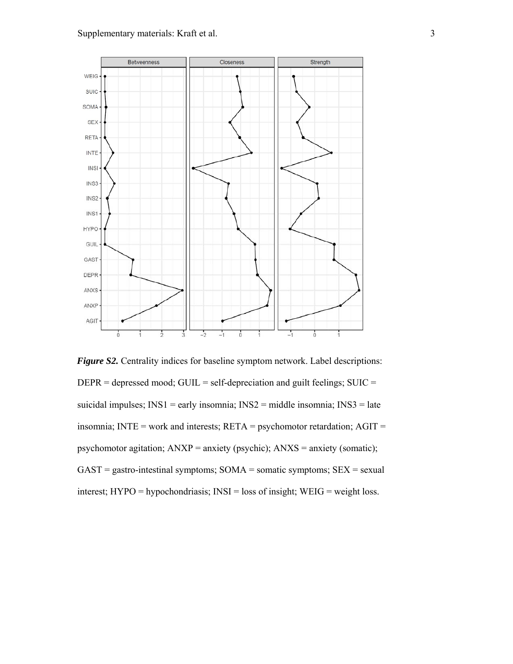

*Figure S2*. Centrality indices for baseline symptom network. Label descriptions:  $DEPR =$  depressed mood; GUIL = self-depreciation and guilt feelings; SUIC = suicidal impulses; INS1 = early insomnia; INS2 = middle insomnia; INS3 = late insomnia; INTE = work and interests;  $RETA =$  psychomotor retardation;  $AGIT =$ psychomotor agitation; ANXP = anxiety (psychic); ANXS = anxiety (somatic);  $GAST =$  gastro-intestinal symptoms;  $SOMA =$  somatic symptoms;  $SEX =$  sexual interest; HYPO = hypochondriasis; INSI = loss of insight; WEIG = weight loss.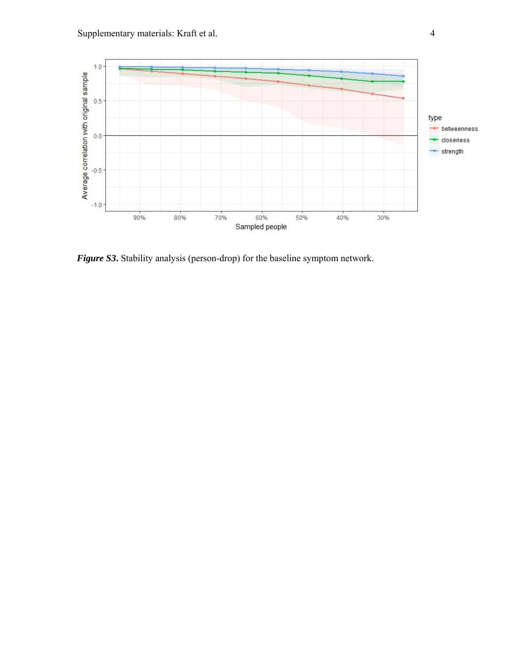

*Figure S3***.** Stability analysis (person-drop) for the baseline symptom network.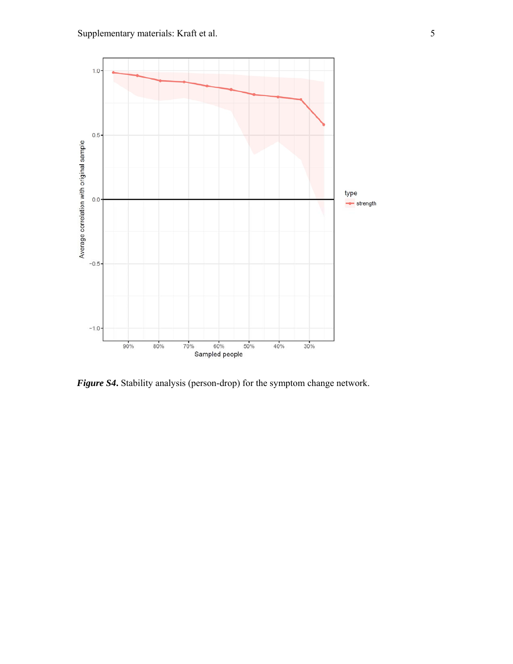

*Figure S4***.** Stability analysis (person-drop) for the symptom change network.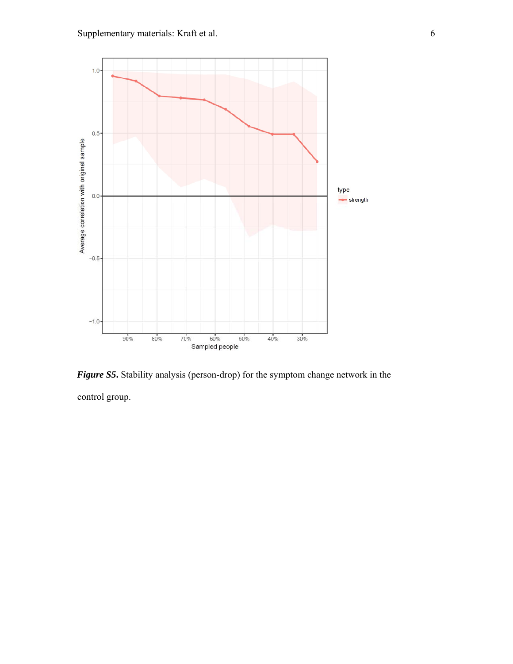

*Figure S5***.** Stability analysis (person-drop) for the symptom change network in the control group.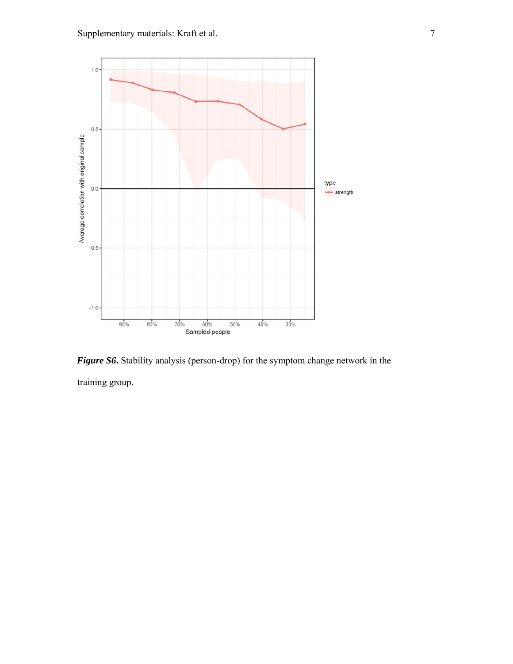

*Figure S6***.** Stability analysis (person-drop) for the symptom change network in the training group.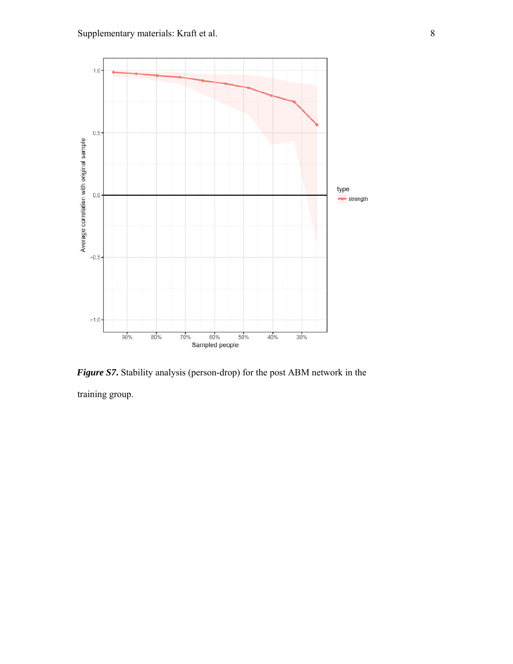

*Figure S7***.** Stability analysis (person-drop) for the post ABM network in the

training group.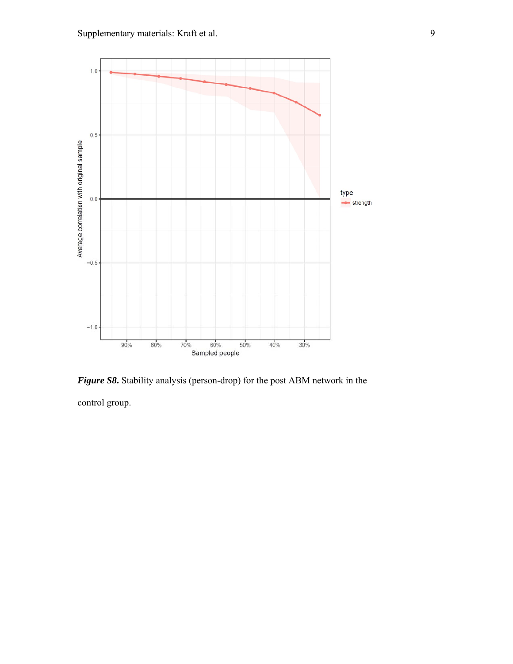

*Figure S8***.** Stability analysis (person-drop) for the post ABM network in the control group.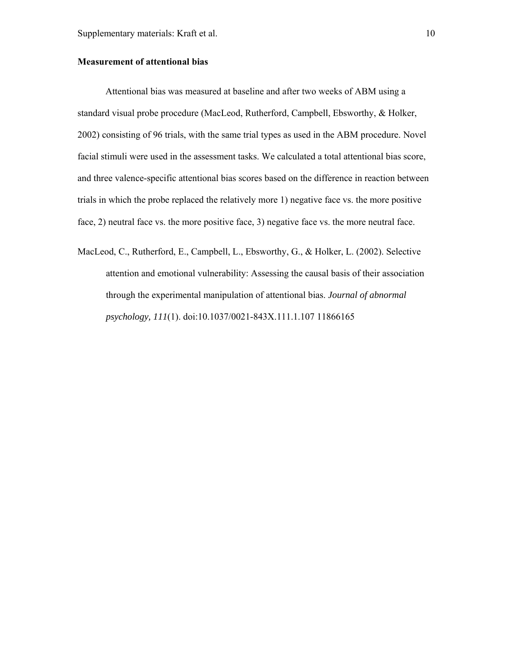## **Measurement of attentional bias**

Attentional bias was measured at baseline and after two weeks of ABM using a standard visual probe procedure (MacLeod, Rutherford, Campbell, Ebsworthy, & Holker, 2002) consisting of 96 trials, with the same trial types as used in the ABM procedure. Novel facial stimuli were used in the assessment tasks. We calculated a total attentional bias score, and three valence-specific attentional bias scores based on the difference in reaction between trials in which the probe replaced the relatively more 1) negative face vs. the more positive face, 2) neutral face vs. the more positive face, 3) negative face vs. the more neutral face.

MacLeod, C., Rutherford, E., Campbell, L., Ebsworthy, G., & Holker, L. (2002). Selective attention and emotional vulnerability: Assessing the causal basis of their association through the experimental manipulation of attentional bias. *Journal of abnormal psychology, 111*(1). doi:10.1037/0021-843X.111.1.107 11866165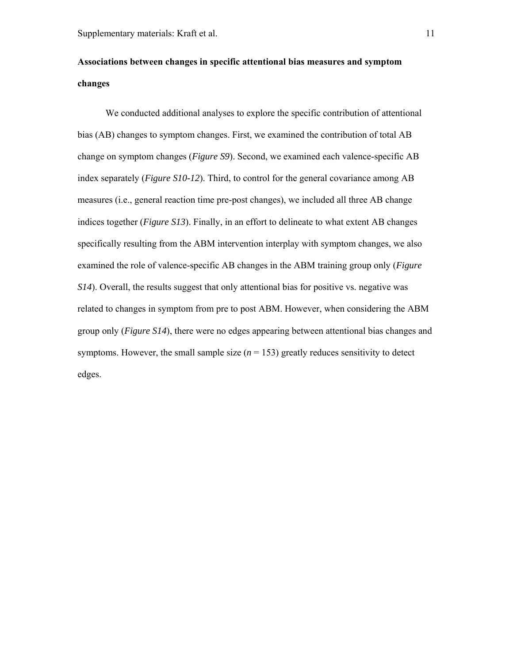## **Associations between changes in specific attentional bias measures and symptom changes**

We conducted additional analyses to explore the specific contribution of attentional bias (AB) changes to symptom changes. First, we examined the contribution of total AB change on symptom changes (*Figure S9*). Second, we examined each valence-specific AB index separately (*Figure S10-12*). Third, to control for the general covariance among AB measures (i.e., general reaction time pre-post changes), we included all three AB change indices together (*Figure S13*). Finally, in an effort to delineate to what extent AB changes specifically resulting from the ABM intervention interplay with symptom changes, we also examined the role of valence-specific AB changes in the ABM training group only (*Figure S14*). Overall, the results suggest that only attentional bias for positive vs. negative was related to changes in symptom from pre to post ABM. However, when considering the ABM group only (*Figure S14*), there were no edges appearing between attentional bias changes and symptoms. However, the small sample size  $(n = 153)$  greatly reduces sensitivity to detect edges.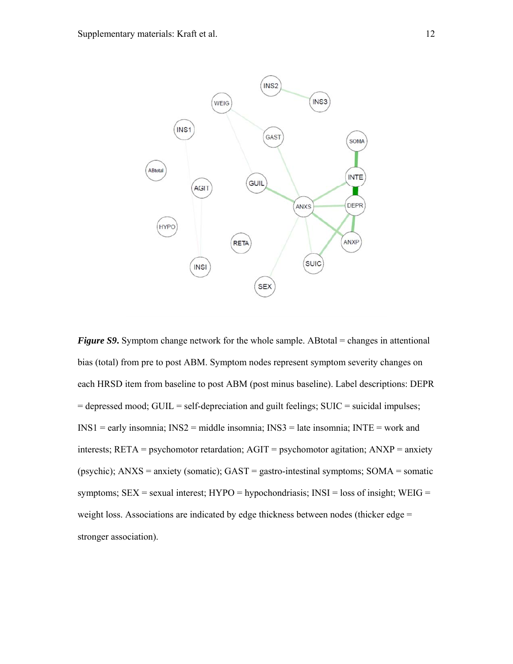

*Figure S9*. Symptom change network for the whole sample. ABtotal = changes in attentional bias (total) from pre to post ABM. Symptom nodes represent symptom severity changes on each HRSD item from baseline to post ABM (post minus baseline). Label descriptions: DEPR = depressed mood; GUIL = self-depreciation and guilt feelings; SUIC = suicidal impulses; INS1 = early insomnia; INS2 = middle insomnia; INS3 = late insomnia; INTE = work and interests; RETA = psychomotor retardation; AGIT = psychomotor agitation; ANXP = anxiety (psychic); ANXS = anxiety (somatic); GAST = gastro-intestinal symptoms; SOMA = somatic symptoms;  $SEX = sexual$  interest;  $HYPO = hypochondriasis$ ;  $INSI = loss$  of insight;  $WEIG =$ weight loss. Associations are indicated by edge thickness between nodes (thicker edge = stronger association).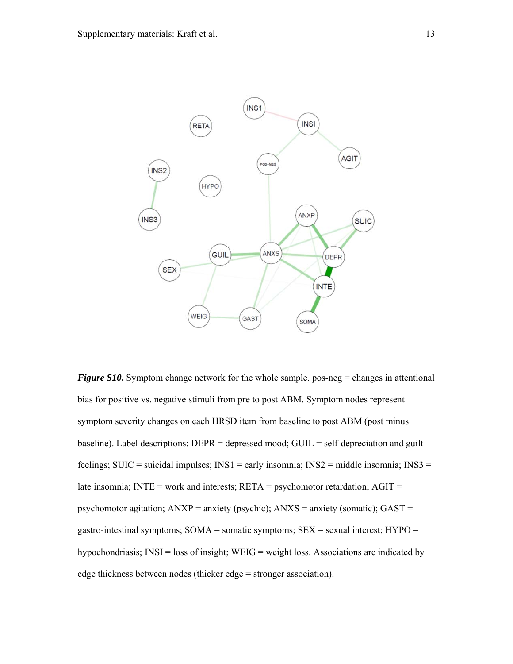

*Figure S10***.** Symptom change network for the whole sample. pos-neg = changes in attentional bias for positive vs. negative stimuli from pre to post ABM. Symptom nodes represent symptom severity changes on each HRSD item from baseline to post ABM (post minus baseline). Label descriptions: DEPR = depressed mood; GUIL = self-depreciation and guilt feelings; SUIC = suicidal impulses;  $INS1$  = early insomnia;  $INS2$  = middle insomnia;  $INS3$  = late insomnia; INTE = work and interests;  $RETA$  = psychomotor retardation;  $AGIT$  = psychomotor agitation;  $ANXP =$  anxiety (psychic);  $ANXS =$  anxiety (somatic);  $GAST =$ gastro-intestinal symptoms;  $SOMA = somatic symptoms$ ;  $SEX = sexual interest$ ;  $HYPO =$ hypochondriasis; INSI = loss of insight; WEIG = weight loss. Associations are indicated by edge thickness between nodes (thicker edge = stronger association).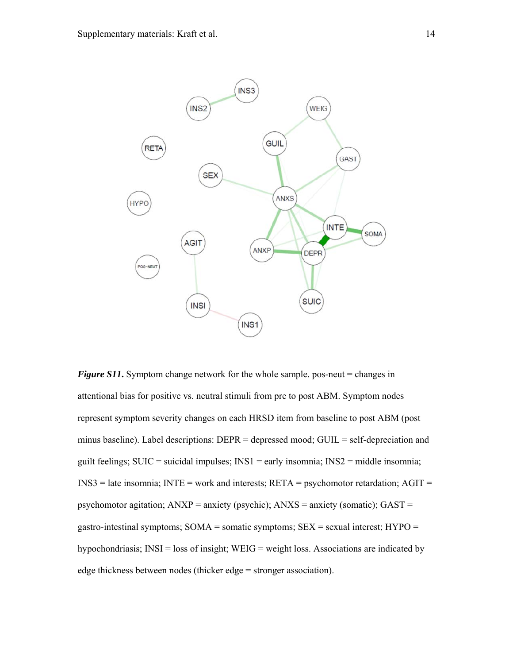

*Figure S11*. Symptom change network for the whole sample. pos-neut = changes in attentional bias for positive vs. neutral stimuli from pre to post ABM. Symptom nodes represent symptom severity changes on each HRSD item from baseline to post ABM (post minus baseline). Label descriptions: DEPR = depressed mood; GUIL = self-depreciation and guilt feelings; SUIC = suicidal impulses;  $INS1$  = early insomnia;  $INS2$  = middle insomnia;  $INS3 = late in somnia; INTE = work and interests; RETA = psychomotor retardation; AGIT =$ psychomotor agitation;  $ANXP =$  anxiety (psychic);  $ANXS =$  anxiety (somatic);  $GAST =$ gastro-intestinal symptoms; SOMA = somatic symptoms; SEX = sexual interest; HYPO = hypochondriasis; INSI = loss of insight; WEIG = weight loss. Associations are indicated by edge thickness between nodes (thicker edge = stronger association).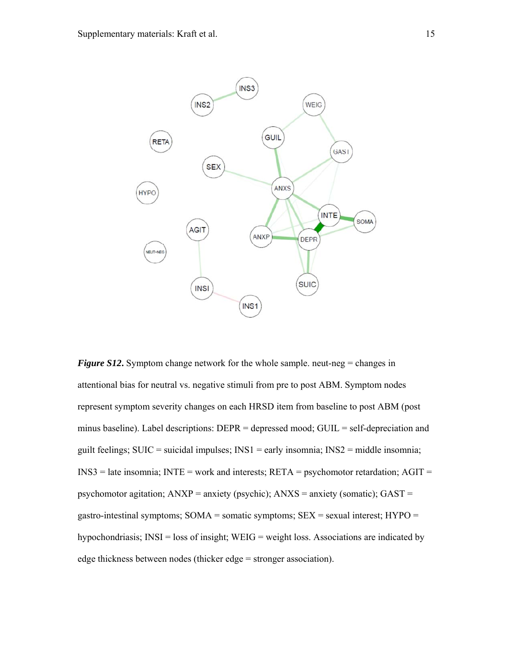

*Figure S12***.** Symptom change network for the whole sample. neut-neg = changes in attentional bias for neutral vs. negative stimuli from pre to post ABM. Symptom nodes represent symptom severity changes on each HRSD item from baseline to post ABM (post minus baseline). Label descriptions: DEPR = depressed mood; GUIL = self-depreciation and guilt feelings;  $SUIC =$  suicidal impulses;  $INS1 =$  early insomnia;  $INS2 =$  middle insomnia;  $INSS =$  late insomnia;  $INTE =$  work and interests;  $RETA =$  psychomotor retardation;  $AGIT =$ psychomotor agitation; ANXP = anxiety (psychic); ANXS = anxiety (somatic); GAST = gastro-intestinal symptoms;  $SOMA = somatic symptoms$ ;  $SEX = sexual interest$ ;  $HYPO =$ hypochondriasis;  $INSI = loss$  of insight;  $WEIG = weight$  loss. Associations are indicated by edge thickness between nodes (thicker edge = stronger association).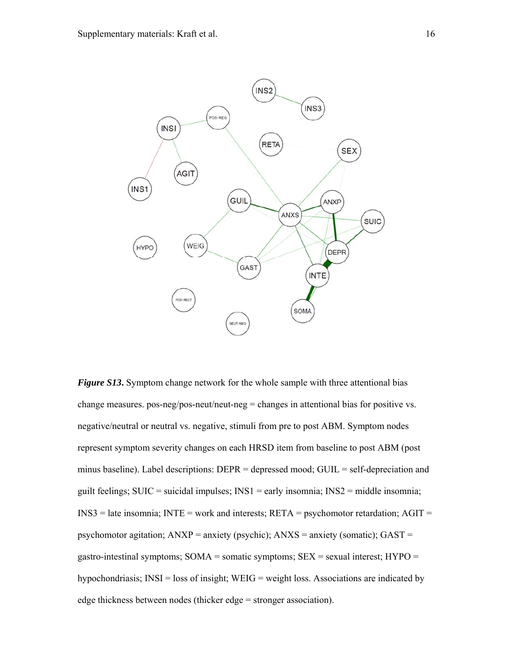

*Figure S13***.** Symptom change network for the whole sample with three attentional bias change measures. pos-neg/pos-neut/neut-neg = changes in attentional bias for positive vs. negative/neutral or neutral vs. negative, stimuli from pre to post ABM. Symptom nodes represent symptom severity changes on each HRSD item from baseline to post ABM (post minus baseline). Label descriptions: DEPR = depressed mood; GUIL = self-depreciation and guilt feelings; SUIC = suicidal impulses;  $INS1$  = early insomnia;  $INS2$  = middle insomnia;  $INSS =$  late insomnia;  $INTE =$  work and interests;  $RETA =$  psychomotor retardation;  $AGIT =$ psychomotor agitation; ANXP = anxiety (psychic); ANXS = anxiety (somatic); GAST = gastro-intestinal symptoms; SOMA = somatic symptoms; SEX = sexual interest; HYPO = hypochondriasis; INSI = loss of insight; WEIG = weight loss. Associations are indicated by edge thickness between nodes (thicker edge = stronger association).